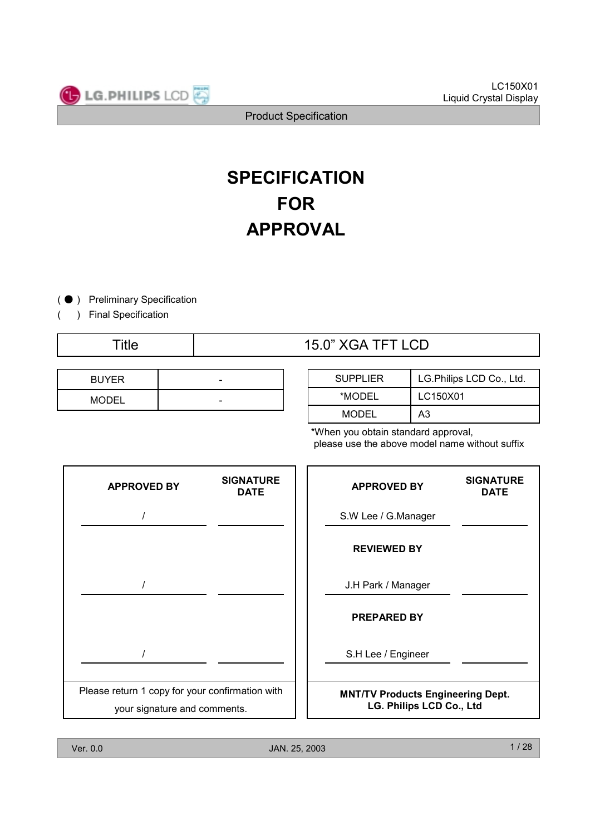



# **SPECIFICATION FOR APPROVAL**

(  $\bullet$  ) Preliminary Specification

) Final Specification

(

| <b>BUYER</b> | - |
|--------------|---|
| <b>MODEL</b> | - |

# Title 15.0" XGA TFT LCD

| <b>SUPPLIER</b> | LG. Philips LCD Co., Ltd. |
|-----------------|---------------------------|
| *MODEL          | LC150X01                  |
| <b>MODEL</b>    | A3                        |

\*When you obtain standard approval, please use the above model name without suffix



**SIGNATURE**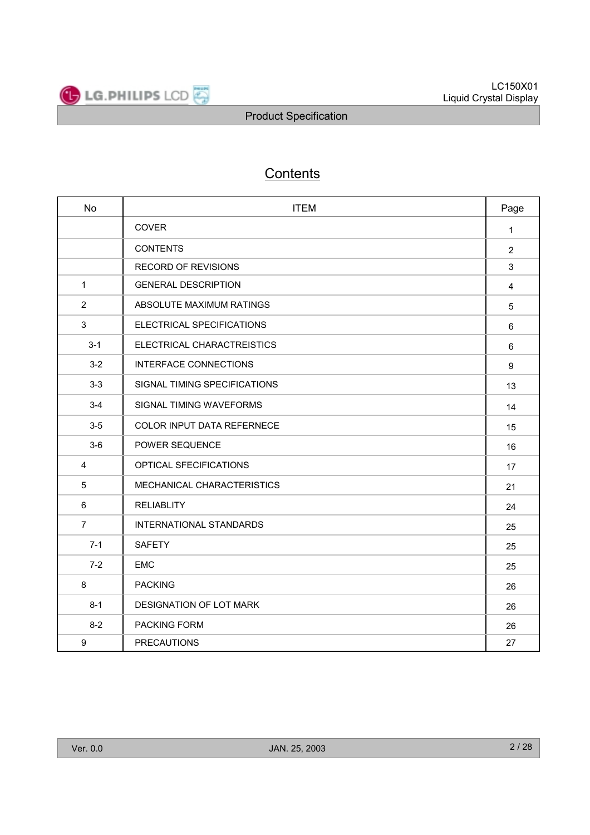

# **Contents**

| <b>No</b>      | <b>ITEM</b>                       | Page           |
|----------------|-----------------------------------|----------------|
|                | <b>COVER</b>                      | $\mathbf{1}$   |
|                | <b>CONTENTS</b>                   | $\overline{2}$ |
|                | <b>RECORD OF REVISIONS</b>        | 3              |
| $\mathbf{1}$   | <b>GENERAL DESCRIPTION</b>        | 4              |
| $\overline{2}$ | ABSOLUTE MAXIMUM RATINGS          | 5              |
| $\mathbf{3}$   | ELECTRICAL SPECIFICATIONS         | 6              |
| $3 - 1$        | ELECTRICAL CHARACTREISTICS        | 6              |
| $3 - 2$        | <b>INTERFACE CONNECTIONS</b>      | 9              |
| $3-3$          | SIGNAL TIMING SPECIFICATIONS      | 13             |
| $3 - 4$        | SIGNAL TIMING WAVEFORMS           | 14             |
| $3-5$          | <b>COLOR INPUT DATA REFERNECE</b> | 15             |
| $3-6$          | POWER SEQUENCE                    | 16             |
| 4              | OPTICAL SFECIFICATIONS            | 17             |
| 5              | MECHANICAL CHARACTERISTICS        | 21             |
| 6              | <b>RELIABLITY</b>                 | 24             |
| $\overline{7}$ | <b>INTERNATIONAL STANDARDS</b>    | 25             |
| $7 - 1$        | <b>SAFETY</b>                     | 25             |
| $7 - 2$        | <b>EMC</b>                        | 25             |
| 8              | <b>PACKING</b>                    | 26             |
| $8 - 1$        | DESIGNATION OF LOT MARK           | 26             |
| $8 - 2$        | <b>PACKING FORM</b>               | 26             |
| 9              | <b>PRECAUTIONS</b>                | 27             |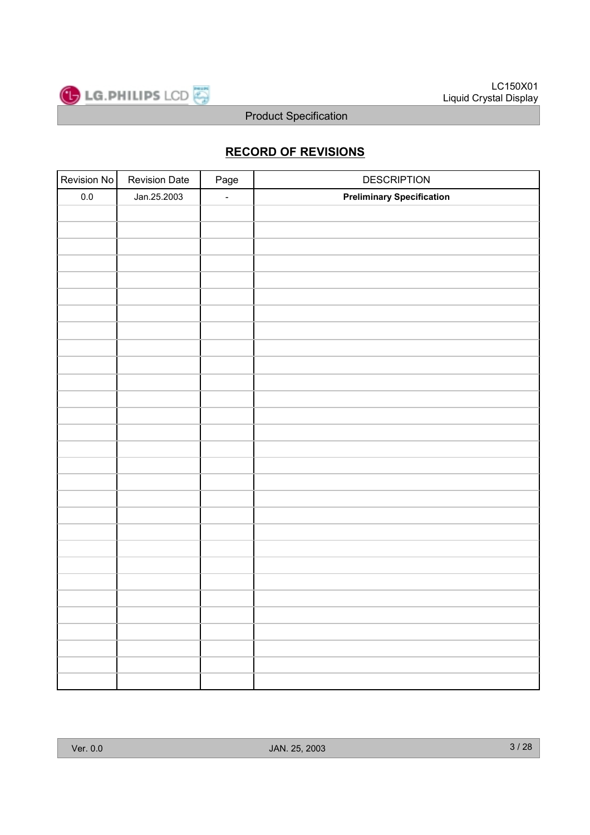

# **RECORD OF REVISIONS**

| Revision No | <b>Revision Date</b> | Page   | <b>DESCRIPTION</b>               |
|-------------|----------------------|--------|----------------------------------|
| $0.0\,$     | Jan.25.2003          | $\Box$ | <b>Preliminary Specification</b> |
|             |                      |        |                                  |
|             |                      |        |                                  |
|             |                      |        |                                  |
|             |                      |        |                                  |
|             |                      |        |                                  |
|             |                      |        |                                  |
|             |                      |        |                                  |
|             |                      |        |                                  |
|             |                      |        |                                  |
|             |                      |        |                                  |
|             |                      |        |                                  |
|             |                      |        |                                  |
|             |                      |        |                                  |
|             |                      |        |                                  |
|             |                      |        |                                  |
|             |                      |        |                                  |
|             |                      |        |                                  |
|             |                      |        |                                  |
|             |                      |        |                                  |
|             |                      |        |                                  |
|             |                      |        |                                  |
|             |                      |        |                                  |
|             |                      |        |                                  |
|             |                      |        |                                  |
|             |                      |        |                                  |
|             |                      |        |                                  |
|             |                      |        |                                  |
|             |                      |        |                                  |
|             |                      |        |                                  |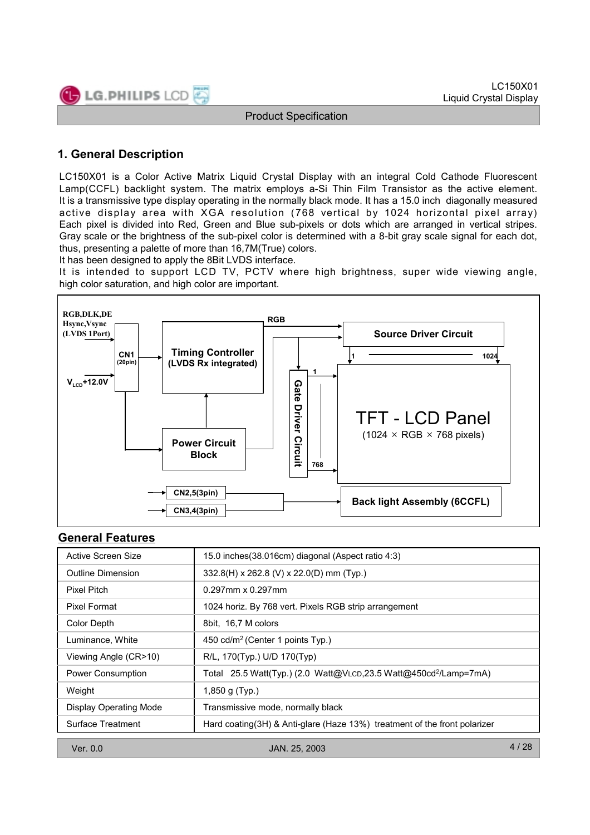

# **1. General Description**

LC150X01 is a Color Active Matrix Liquid Crystal Display with an integral Cold Cathode Fluorescent Lamp(CCFL) backlight system. The matrix employs a-Si Thin Film Transistor as the active element. It is a transmissive type display operating in the normally black mode. It has a 15.0 inch diagonally measured active display area with XGA resolution (768 vertical by 1024 horizontal pixel array) Each pixel is divided into Red, Green and Blue sub-pixels or dots which are arranged in vertical stripes. Gray scale or the brightness of the sub-pixel color is determined with a 8-bit gray scale signal for each dot, thus, presenting a palette of more than 16,7M(True) colors.

It has been designed to apply the 8Bit LVDS interface.

It is intended to support LCD TV, PCTV where high brightness, super wide viewing angle, high color saturation, and high color are important.



#### **General Features**

| Active Screen Size            | 15.0 inches (38.016cm) diagonal (Aspect ratio 4:3)                           |      |
|-------------------------------|------------------------------------------------------------------------------|------|
| <b>Outline Dimension</b>      | 332.8(H) x 262.8 (V) x 22.0(D) mm (Typ.)                                     |      |
| Pixel Pitch                   | $0.297$ mm x $0.297$ mm                                                      |      |
| Pixel Format                  | 1024 horiz. By 768 vert. Pixels RGB strip arrangement                        |      |
| Color Depth                   | 8bit, 16,7 M colors                                                          |      |
| Luminance, White              | 450 cd/m <sup>2</sup> (Center 1 points Typ.)                                 |      |
| Viewing Angle (CR>10)         | R/L, 170(Typ.) U/D 170(Typ)                                                  |      |
| <b>Power Consumption</b>      | Total 25.5 Watt(Typ.) (2.0 Watt@VLCD,23.5 Watt@450cd <sup>2</sup> /Lamp=7mA) |      |
| Weight                        | 1,850 g (Typ.)                                                               |      |
| <b>Display Operating Mode</b> | Transmissive mode, normally black                                            |      |
| Surface Treatment             | Hard coating(3H) & Anti-glare (Haze 13%) treatment of the front polarizer    |      |
|                               |                                                                              |      |
| Ver. $0.0$                    | JAN. 25, 2003                                                                | 4/28 |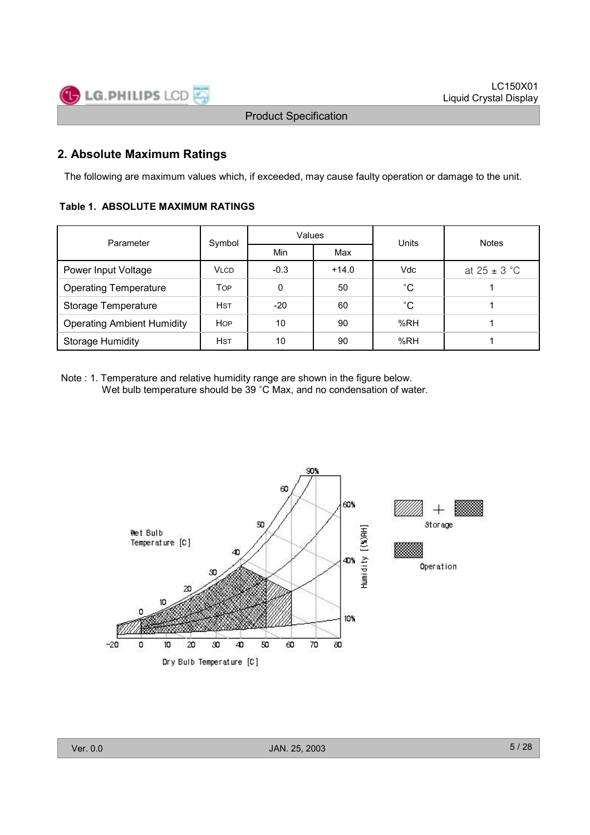

#### **2. Absolute Maximum Ratings**

The following are maximum values which, if exceeded, may cause faulty operation or damage to the unit.

#### **Table 1. ABSOLUTE MAXIMUM RATINGS**

| Parameter                         | Symbol      | Values |         | Units             | <b>Notes</b>     |  |
|-----------------------------------|-------------|--------|---------|-------------------|------------------|--|
|                                   |             | Min    | Max     |                   |                  |  |
| Power Input Voltage               | <b>VLCD</b> | $-0.3$ | $+14.0$ | Vdc               | at $25 \pm 3$ °C |  |
| <b>Operating Temperature</b>      | <b>TOP</b>  | 0      | 50      | $^{\circ}{\rm C}$ |                  |  |
| Storage Temperature               | <b>HST</b>  | $-20$  | 60      | $^{\circ}{\rm C}$ |                  |  |
| <b>Operating Ambient Humidity</b> | <b>HOP</b>  | 10     | 90      | %RH               |                  |  |
| <b>Storage Humidity</b>           | <b>HST</b>  | 10     | 90      | %RH               |                  |  |

Note : 1. Temperature and relative humidity range are shown in the figure below. Wet bulb temperature should be 39 °C Max, and no condensation of water.



Ver. 0.0 JAN. 25, 2003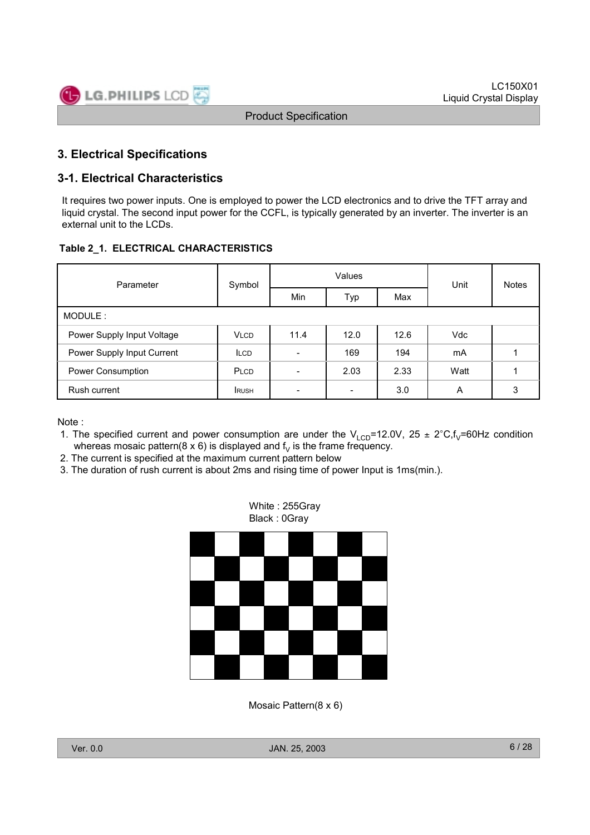

#### **3. Electrical Specifications**

#### **3-1. Electrical Characteristics**

It requires two power inputs. One is employed to power the LCD electronics and to drive the TFT array and liquid crystal. The second input power for the CCFL, is typically generated by an inverter. The inverter is an external unit to the LCDs.

#### **Table 2\_1. ELECTRICAL CHARACTERISTICS**

| Parameter                  | Symbol      |                          | Values                   | Unit | <b>Notes</b> |   |
|----------------------------|-------------|--------------------------|--------------------------|------|--------------|---|
|                            |             | Min                      | Typ                      | Max  |              |   |
| MODULE:                    |             |                          |                          |      |              |   |
| Power Supply Input Voltage | <b>VLCD</b> | 11.4                     | 12.0                     | 12.6 | <b>Vdc</b>   |   |
| Power Supply Input Current | <b>ILCD</b> | $\overline{\phantom{0}}$ | 169                      | 194  | mA           |   |
| Power Consumption          | PLCD        | ۰                        | 2.03                     | 2.33 | Watt         |   |
| Rush current               | <b>RUSH</b> | $\overline{\phantom{0}}$ | $\overline{\phantom{0}}$ | 3.0  | A            | 3 |

Note :

- 1. The specified current and power consumption are under the  $V_{LCD}$ =12.0V, 25 ± 2°C,f<sub>V</sub>=60Hz condition whereas mosaic pattern(8 x 6) is displayed and  $f<sub>V</sub>$  is the frame frequency.
- 2. The current is specified at the maximum current pattern below
- 3. The duration of rush current is about 2ms and rising time of power Input is 1ms(min.).



Mosaic Pattern(8 x 6)

Ver. 0.0 JAN. 25, 2003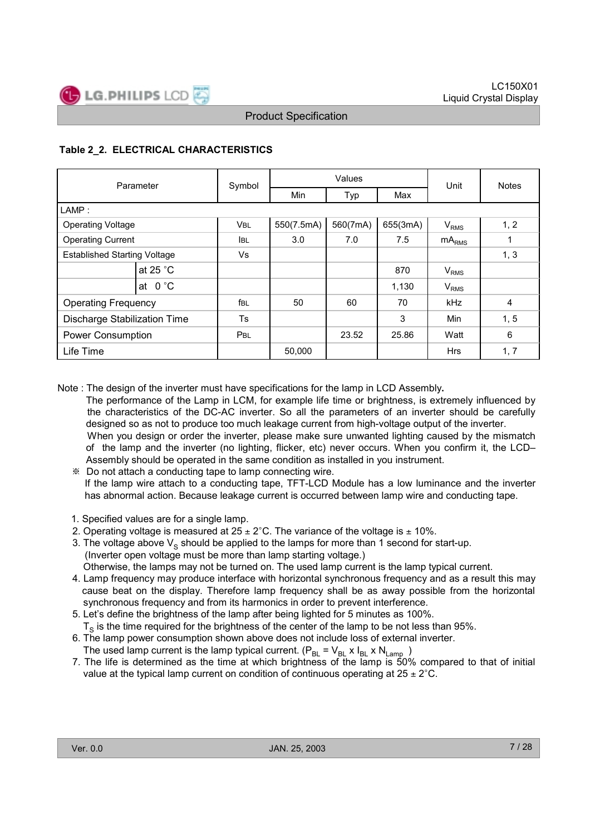

#### **Table 2\_2. ELECTRICAL CHARACTERISTICS**

| Parameter                           |                    | Symbol      |            | Values   | Unit     | <b>Notes</b>     |                |
|-------------------------------------|--------------------|-------------|------------|----------|----------|------------------|----------------|
|                                     |                    |             | <b>Min</b> | Typ      | Max      |                  |                |
| LAMP:                               |                    |             |            |          |          |                  |                |
| <b>Operating Voltage</b>            |                    | <b>VBL</b>  | 550(7.5mA) | 560(7mA) | 655(3mA) | V <sub>RMS</sub> | 1, 2           |
| <b>Operating Current</b>            |                    | <b>I</b> BL | 3.0        | 7.0      |          | $mA_{RMS}$       | 1              |
| <b>Established Starting Voltage</b> |                    | Vs          |            |          |          |                  | 1, 3           |
|                                     | at 25 $^{\circ}$ C |             |            |          | 870      | $V_{RMS}$        |                |
|                                     | at $0^{\circ}$ C   |             |            |          | 1,130    | $V_{RMS}$        |                |
| <b>Operating Frequency</b>          |                    | fbl         | 50         | 60       | 70       | kHz              | $\overline{4}$ |
| Discharge Stabilization Time        |                    | <b>Ts</b>   |            |          | 3        | Min              | 1, 5           |
| <b>Power Consumption</b>            |                    | <b>PBL</b>  |            | 23.52    | 25.86    | Watt             | 6              |
| Life Time                           |                    |             | 50,000     |          |          | <b>Hrs</b>       | 1, 7           |

Note : The design of the inverter must have specifications for the lamp in LCD Assembly**.**

- The performance of the Lamp in LCM, for example life time or brightness, is extremely influenced by the characteristics of the DC-AC inverter. So all the parameters of an inverter should be carefully designed so as not to produce too much leakage current from high-voltage output of the inverter. When you design or order the inverter, please make sure unwanted lighting caused by the mismatch of the lamp and the inverter (no lighting, flicker, etc) never occurs. When you confirm it, the LCD– Assembly should be operated in the same condition as installed in you instrument.
	- + Do not attach a conducting tape to lamp connecting wire. If the lamp wire attach to a conducting tape, TFT-LCD Module has a low luminance and the inverter has abnormal action. Because leakage current is occurred between lamp wire and conducting tape.
	- 1. Specified values are for a single lamp.
	- 2. Operating voltage is measured at  $25 \pm 2^{\circ}$ C. The variance of the voltage is  $\pm$  10%.
	- 3. The voltage above  $V_S$  should be applied to the lamps for more than 1 second for start-up. (Inverter open voltage must be more than lamp starting voltage.) Otherwise, the lamps may not be turned on. The used lamp current is the lamp typical current.
	- 4. Lamp frequency may produce interface with horizontal synchronous frequency and as a result this may cause beat on the display. Therefore lamp frequency shall be as away possible from the horizontal synchronous frequency and from its harmonics in order to prevent interference.
	- 5. Let's define the brightness of the lamp after being lighted for 5 minutes as 100%.  $T<sub>s</sub>$  is the time required for the brightness of the center of the lamp to be not less than 95%.
	- 6. The lamp power consumption shown above does not include loss of external inverter.
	- The used lamp current is the lamp typical current. ( $P_{BL}$  =  $V_{BL}$  x  $I_{BL}$  x  $N_{Lamp}$  ) 7. The life is determined as the time at which brightness of the lamp is 50% compared to that of initial value at the typical lamp current on condition of continuous operating at  $25 \pm 2^{\circ}$ C.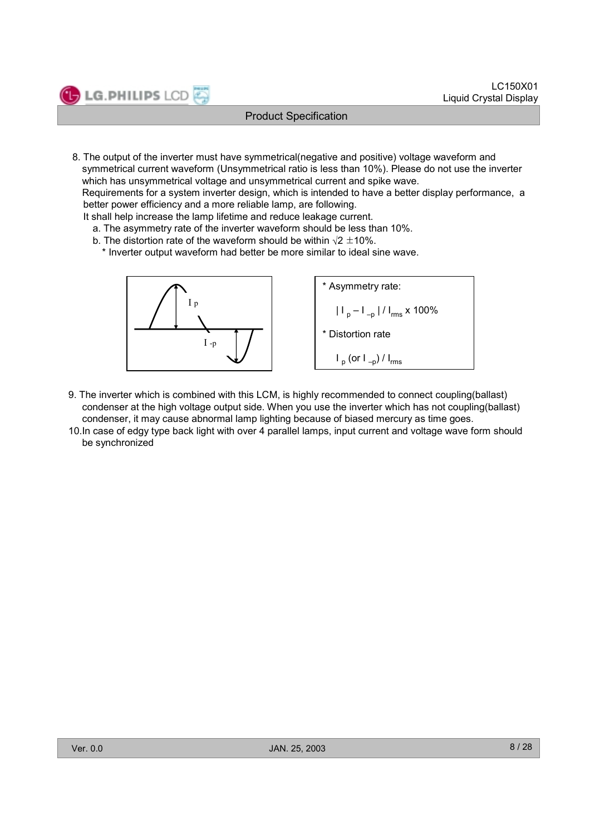

8. The output of the inverter must have symmetrical(negative and positive) voltage waveform and symmetrical current waveform (Unsymmetrical ratio is less than 10%). Please do not use the inverter which has unsymmetrical voltage and unsymmetrical current and spike wave.

Requirements for a system inverter design, which is intended to have a better display performance, a better power efficiency and a more reliable lamp, are following.

It shall help increase the lamp lifetime and reduce leakage current.

- a. The asymmetry rate of the inverter waveform should be less than 10%.
- b. The distortion rate of the waveform should be within  $\sqrt{2} \pm 10\%$ .

\* Inverter output waveform had better be more similar to ideal sine wave.



- 9. The inverter which is combined with this LCM, is highly recommended to connect coupling(ballast) condenser at the high voltage output side. When you use the inverter which has not coupling(ballast) condenser, it may cause abnormal lamp lighting because of biased mercury as time goes.
- 10.In case of edgy type back light with over 4 parallel lamps, input current and voltage wave form should be synchronized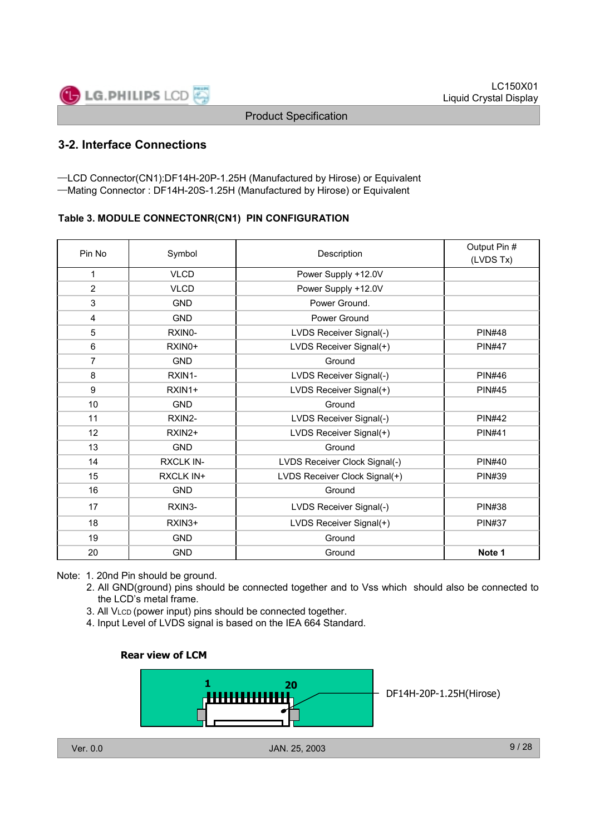

# **3-2. Interface Connections**

-LCD Connector(CN1):DF14H-20P-1.25H (Manufactured by Hirose) or Equivalent -Mating Connector : DF14H-20S-1.25H (Manufactured by Hirose) or Equivalent

#### **Table 3. MODULE CONNECTONR(CN1) PIN CONFIGURATION**

| Pin No         | Symbol              | Description                   | Output Pin #<br>(LVDS Tx) |
|----------------|---------------------|-------------------------------|---------------------------|
| 1              | <b>VLCD</b>         | Power Supply +12.0V           |                           |
| $\overline{2}$ | <b>VLCD</b>         | Power Supply +12.0V           |                           |
| 3              | <b>GND</b>          | Power Ground.                 |                           |
| 4              | <b>GND</b>          | Power Ground                  |                           |
| 5              | RXIN0-              | LVDS Receiver Signal(-)       | <b>PIN#48</b>             |
| 6              | RXIN <sub>0</sub> + | LVDS Receiver Signal(+)       | <b>PIN#47</b>             |
| $\overline{7}$ | <b>GND</b>          | Ground                        |                           |
| 8              | RXIN1-              | LVDS Receiver Signal(-)       | <b>PIN#46</b>             |
| 9              | RXIN1+              | LVDS Receiver Signal(+)       | <b>PIN#45</b>             |
| 10             | <b>GND</b>          | Ground                        |                           |
| 11             | RXIN2-              | LVDS Receiver Signal(-)       | <b>PIN#42</b>             |
| 12             | RXIN2+              | LVDS Receiver Signal(+)       | <b>PIN#41</b>             |
| 13             | <b>GND</b>          | Ground                        |                           |
| 14             | <b>RXCLK IN-</b>    | LVDS Receiver Clock Signal(-) | <b>PIN#40</b>             |
| 15             | <b>RXCLK IN+</b>    | LVDS Receiver Clock Signal(+) | <b>PIN#39</b>             |
| 16             | <b>GND</b>          | Ground                        |                           |
| 17             | RXIN3-              | LVDS Receiver Signal(-)       | <b>PIN#38</b>             |
| 18             | RXIN3+              | LVDS Receiver Signal(+)       | <b>PIN#37</b>             |
| 19             | <b>GND</b>          | Ground                        |                           |
| 20             | <b>GND</b>          | Ground                        | Note 1                    |

Note: 1. 20nd Pin should be ground.

- 2. All GND(ground) pins should be connected together and to Vss which should also be connected to the LCD's metal frame.
- 3. All VLCD (power input) pins should be connected together.
- 4. Input Level of LVDS signal is based on the IEA 664 Standard.

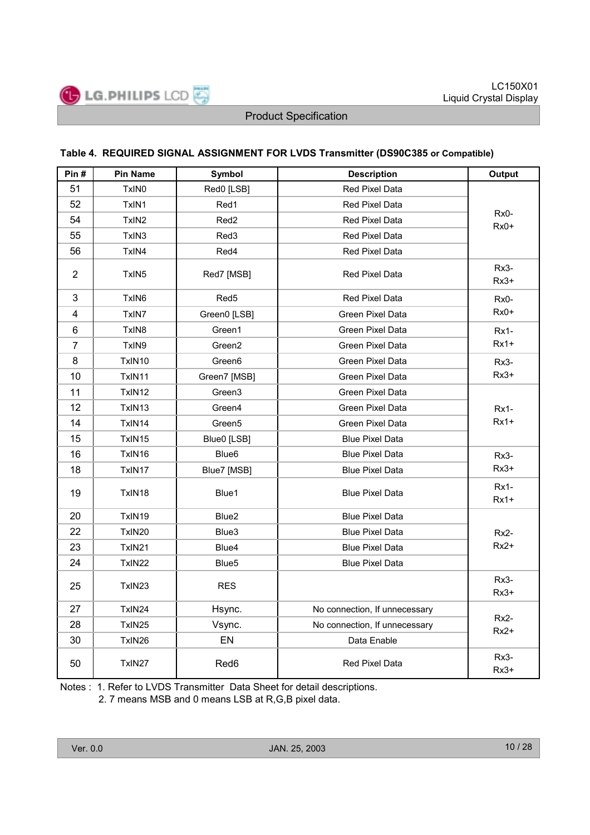

#### **Table 4. REQUIRED SIGNAL ASSIGNMENT FOR LVDS Transmitter (DS90C385 or Compatible)**

| Pin#           | <b>Pin Name</b>    | Symbol                                      | <b>Description</b>            | Output                |
|----------------|--------------------|---------------------------------------------|-------------------------------|-----------------------|
| 51             | TxIN <sub>0</sub>  | Red0 [LSB]                                  | <b>Red Pixel Data</b>         |                       |
| 52             | TxIN1              | Red1                                        | Red Pixel Data                |                       |
| 54             | TxIN <sub>2</sub>  | Red <sub>2</sub>                            | Red Pixel Data                | Rx0-<br>$Rx0+$        |
| 55             | TxIN3              | Red <sub>3</sub>                            | Red Pixel Data                |                       |
| 56             | TxIN4              | Red4                                        | Red Pixel Data                |                       |
| $\overline{2}$ | TxIN <sub>5</sub>  | Red7 [MSB]                                  | Red Pixel Data                | Rx3-<br>$Rx3+$        |
| 3              | TxIN6              | Red <sub>5</sub>                            | Red Pixel Data                | $Rx0-$                |
| $\overline{4}$ | TxIN7              | Green0 [LSB]                                | Green Pixel Data              | $Rx0+$                |
| 6              | TxIN8              | Green1                                      | Green Pixel Data              | <b>Rx1-</b>           |
| $\overline{7}$ | TxIN9              | Green2                                      | Green Pixel Data              | $Rx1+$                |
| 8              | TxIN10             | Green <sub>6</sub>                          | Green Pixel Data              | Rx3-                  |
| 10             | TxIN11             | Green7 [MSB]                                | Green Pixel Data              | $Rx3+$                |
| 11             | TxIN12             | Green <sub>3</sub>                          | Green Pixel Data              |                       |
| 12             | TxIN <sub>13</sub> | Green4                                      | Green Pixel Data              | $Rx1-$                |
| 14             | TxIN14             | Green <sub>5</sub>                          | Green Pixel Data              | $Rx1+$                |
| 15             | TxIN15             | Blue0 [LSB]                                 | <b>Blue Pixel Data</b>        |                       |
| 16             | TxIN16             | Blue <sub>6</sub><br><b>Blue Pixel Data</b> |                               | $Rx3-$                |
| 18             | TxIN17             | Blue7 [MSB]                                 | <b>Blue Pixel Data</b>        | $Rx3+$                |
| 19             | TxIN18             | Blue1                                       | <b>Blue Pixel Data</b>        | $Rx1-$<br>$Rx1+$      |
| 20             | TxIN19             | Blue2                                       | <b>Blue Pixel Data</b>        |                       |
| 22             | TxIN20             | Blue3                                       | <b>Blue Pixel Data</b>        | $Rx2-$                |
| 23             | TxIN21             | Blue4                                       | <b>Blue Pixel Data</b>        | $Rx2+$                |
| 24             | TxIN22             | Blue <sub>5</sub>                           | <b>Blue Pixel Data</b>        |                       |
| 25             | TxIN23             | <b>RES</b>                                  |                               | Rx3-<br>$Rx3+$        |
| 27             | TxIN24             | Hsync.                                      | No connection, If unnecessary |                       |
| 28             | TxIN25             | Vsync.                                      | No connection, If unnecessary | <b>Rx2-</b><br>$Rx2+$ |
| 30             | TxIN26             | EN                                          | Data Enable                   |                       |
| 50             | TxIN27             | Red6                                        | <b>Red Pixel Data</b>         | Rx3-<br>$Rx3+$        |

Notes : 1. Refer to LVDS Transmitter Data Sheet for detail descriptions.

2. 7 means MSB and 0 means LSB at R,G,B pixel data.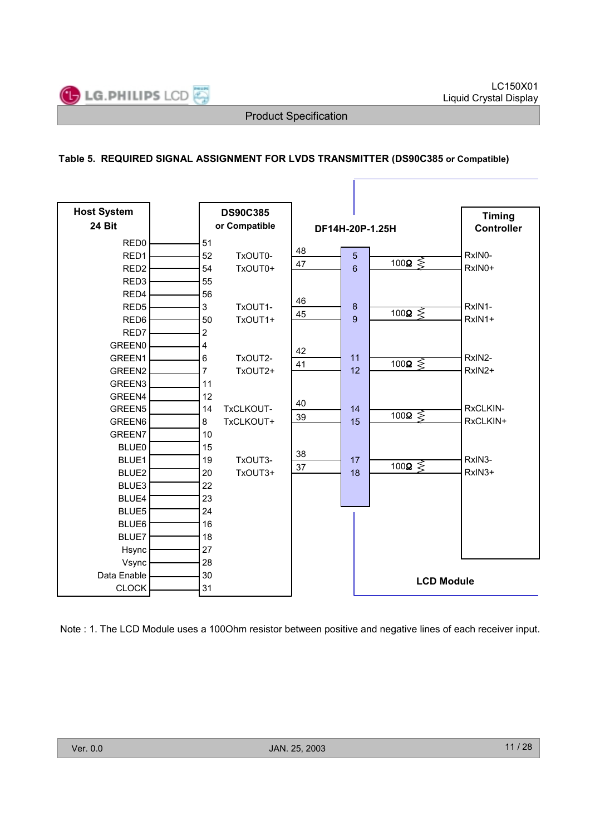

ſ

#### **Table 5. REQUIRED SIGNAL ASSIGNMENT FOR LVDS TRANSMITTER (DS90C385 or Compatible)**

| <b>Host System</b> |                | <b>DS90C385</b> |                 |  |    |                       | <b>Timing</b> |
|--------------------|----------------|-----------------|-----------------|--|----|-----------------------|---------------|
| 24 Bit             | or Compatible  |                 | DF14H-20P-1.25H |  |    | <b>Controller</b>     |               |
| RED <sub>0</sub>   | 51             |                 |                 |  |    |                       |               |
| RED1               | 52             | TxOUT0-         | 48              |  | 5  |                       | RxIN0-        |
| RED <sub>2</sub>   | 54             | TxOUT0+         | 47              |  | 6  | $100\Omega \leq$      | RxIN0+        |
| RED <sub>3</sub>   | 55             |                 |                 |  |    |                       |               |
| RED4               | 56             |                 |                 |  |    |                       |               |
| RED <sub>5</sub>   | 3              | TxOUT1-         | 46              |  | 8  | 100 $\Omega \lessgtr$ | RxIN1-        |
| RED6               | 50             | TxOUT1+         | 45              |  | 9  |                       | RxIN1+        |
| RED7               | $\overline{2}$ |                 |                 |  |    |                       |               |
| <b>GREEN0</b>      | 4              |                 | 42              |  |    |                       |               |
| GREEN1             | 6              | TxOUT2-         | 41              |  | 11 | 100 $\Omega \lessgtr$ | RxIN2-        |
| GREEN <sub>2</sub> | $\overline{7}$ | TxOUT2+         |                 |  | 12 |                       | RxIN2+        |
| GREEN3             | 11             |                 |                 |  |    |                       |               |
| GREEN4             | 12             |                 | 40              |  |    |                       |               |
| GREEN5             | 14             | TxCLKOUT-       | 39              |  | 14 | 100 $\Omega \leq$     | RxCLKIN-      |
| GREEN6             | 8              | TxCLKOUT+       |                 |  | 15 |                       | RxCLKIN+      |
| GREEN7             | 10             |                 |                 |  |    |                       |               |
| <b>BLUE0</b>       | 15             |                 | 38              |  |    |                       |               |
| BLUE1              | 19             | TxOUT3-         | 37              |  | 17 | $100\Omega \leq$      | RxIN3-        |
| BLUE2              | 20             | TxOUT3+         |                 |  | 18 |                       | RxIN3+        |
| BLUE3              | 22             |                 |                 |  |    |                       |               |
| BLUE4              | 23             |                 |                 |  |    |                       |               |
| BLUE5              | 24             |                 |                 |  |    |                       |               |
| BLUE6              | 16             |                 |                 |  |    |                       |               |
| BLUE7              | 18             |                 |                 |  |    |                       |               |
| Hsync              | 27             |                 |                 |  |    |                       |               |
| Vsync              | 28             |                 |                 |  |    |                       |               |
| Data Enable        | 30             |                 |                 |  |    | <b>LCD Module</b>     |               |
| <b>CLOCK</b>       | 31             |                 |                 |  |    |                       |               |

Note : 1. The LCD Module uses a 100Ohm resistor between positive and negative lines of each receiver input.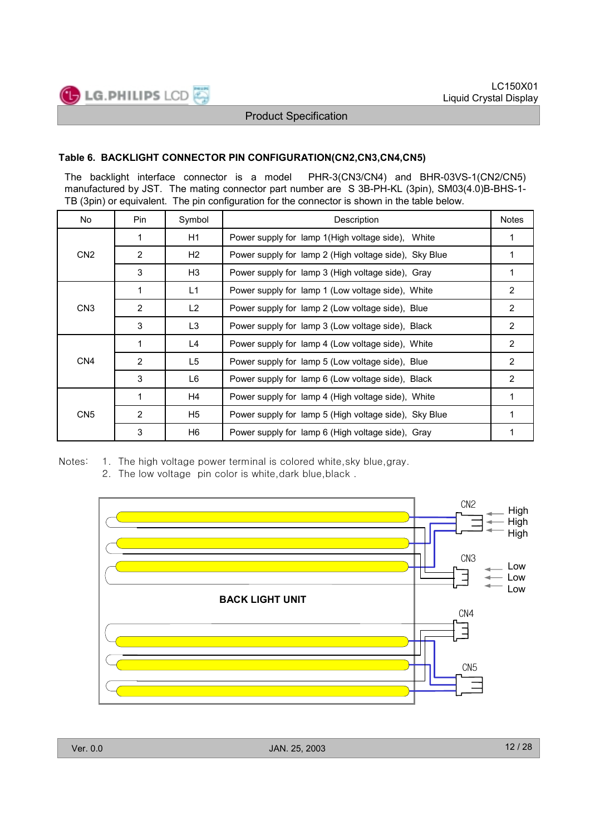

#### **Table 6. BACKLIGHT CONNECTOR PIN CONFIGURATION(CN2,CN3,CN4,CN5)**

The backlight interface connector is a model PHR-3(CN3/CN4) and BHR-03VS-1(CN2/CN5) manufactured by JST. The mating connector part number are S 3B-PH-KL (3pin), SM03(4.0)B-BHS-1- TB (3pin) or equivalent. The pin configuration for the connector is shown in the table below.

| No.             | Pin.           | Symbol         | Description                                           | <b>Notes</b>   |
|-----------------|----------------|----------------|-------------------------------------------------------|----------------|
|                 | 1              | H1             | Power supply for lamp 1 (High voltage side), White    | 1              |
| CN <sub>2</sub> | $\overline{2}$ | H2             | Power supply for lamp 2 (High voltage side), Sky Blue |                |
|                 | 3              | H3             | Power supply for lamp 3 (High voltage side), Gray     | 1              |
|                 | 1              | L1             | Power supply for lamp 1 (Low voltage side), White     | 2              |
| CN <sub>3</sub> | 2              | L <sub>2</sub> | Power supply for lamp 2 (Low voltage side), Blue      | 2              |
|                 | 3              | L3             | Power supply for lamp 3 (Low voltage side), Black     | $\overline{2}$ |
|                 | 1              | L4             | Power supply for lamp 4 (Low voltage side), White     | $\overline{2}$ |
| CN <sub>4</sub> | $\overline{2}$ | L5             | Power supply for lamp 5 (Low voltage side), Blue      | 2              |
|                 | 3              | L6             | Power supply for lamp 6 (Low voltage side), Black     | $\overline{2}$ |
|                 | 1              | H4             | Power supply for lamp 4 (High voltage side), White    | 1              |
| CN <sub>5</sub> | 2              | H5             | Power supply for lamp 5 (High voltage side), Sky Blue | 1              |
|                 | 3              | H6             | Power supply for lamp 6 (High voltage side), Gray     | 1              |

Notes: 1. The high voltage power terminal is colored white, sky blue, gray.

2. The low voltage pin color is white, dark blue, black.

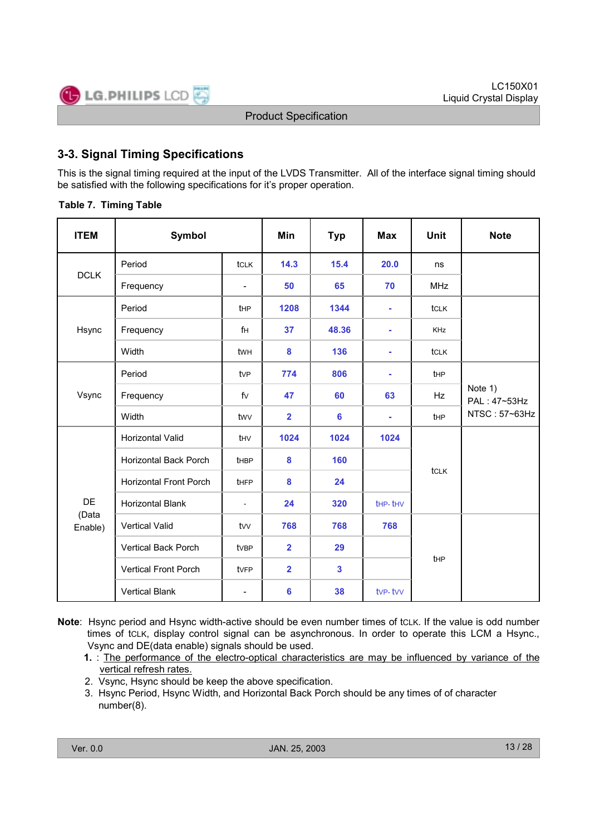

# **3-3. Signal Timing Specifications**

This is the signal timing required at the input of the LVDS Transmitter. All of the interface signal timing should be satisfied with the following specifications for it's proper operation.

#### **Table 7. Timing Table**

| <b>ITEM</b>      | Symbol                        |                          | Min                     | Typ   | <b>Max</b> | <b>Unit</b>     | <b>Note</b>             |
|------------------|-------------------------------|--------------------------|-------------------------|-------|------------|-----------------|-------------------------|
| <b>DCLK</b>      | Period                        | <b>tCLK</b>              | 14.3                    | 15.4  | 20.0       | ns              |                         |
|                  | Frequency                     | L,                       | 50                      | 65    | 70         | <b>MHz</b>      |                         |
|                  | Period                        | t <sub>HP</sub>          | 1208                    | 1344  | ä,         | tclk            |                         |
| Hsync            | Frequency                     | fH                       | 37                      | 48.36 | ä,         | <b>KHz</b>      |                         |
|                  | Width                         | twh                      | 8                       | 136   | ä,         | tclk            |                         |
| Vsync            | Period                        | tv <sub>P</sub>          | 774                     | 806   | ä,         | tHP             |                         |
|                  | Frequency                     | fV                       | 47                      | 60    | 63         | <b>Hz</b>       | Note 1)<br>PAL: 47~53Hz |
|                  | Width                         | twy                      | $\overline{\mathbf{2}}$ | 6     | ä,         | t <sub>HP</sub> | NTSC: 57~63Hz           |
|                  | Horizontal Valid              | thy                      | 1024                    | 1024  | 1024       |                 |                         |
|                  | Horizontal Back Porch         | <b>t</b> HBP             | 8                       | 160   |            | tclk            |                         |
|                  | <b>Horizontal Front Porch</b> | tHFP                     | 8                       | 24    |            |                 |                         |
| DE               | Horizontal Blank              | $\overline{\phantom{a}}$ | 24                      | 320   | the-thy    |                 |                         |
| (Data<br>Enable) | <b>Vertical Valid</b>         | tw                       | 768                     | 768   | 768        |                 |                         |
|                  | Vertical Back Porch           | tvBP                     | $\overline{2}$          | 29    |            |                 |                         |
|                  | <b>Vertical Front Porch</b>   | tvFP                     | $\overline{2}$          | 3     |            | tHP             |                         |
|                  | <b>Vertical Blank</b>         | $\overline{\phantom{0}}$ | 6                       | 38    | tvp-tvv    |                 |                         |

**Note**: Hsync period and Hsync width-active should be even number times of tCLK. If the value is odd number times of tCLK, display control signal can be asynchronous. In order to operate this LCM a Hsync., Vsync and DE(data enable) signals should be used.

**1.** : The performance of the electro-optical characteristics are may be influenced by variance of the vertical refresh rates.

- 2. Vsync, Hsync should be keep the above specification.
- 3. Hsync Period, Hsync Width, and Horizontal Back Porch should be any times of of character number(8).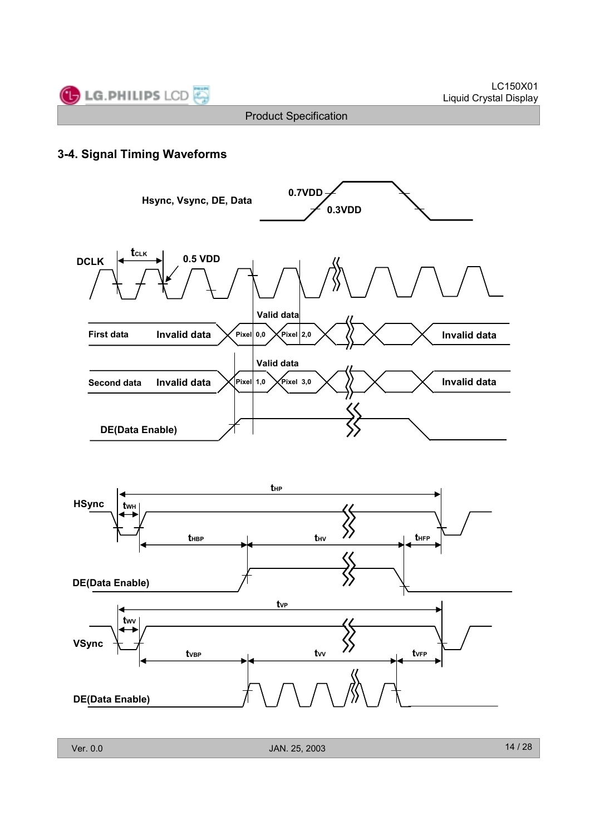



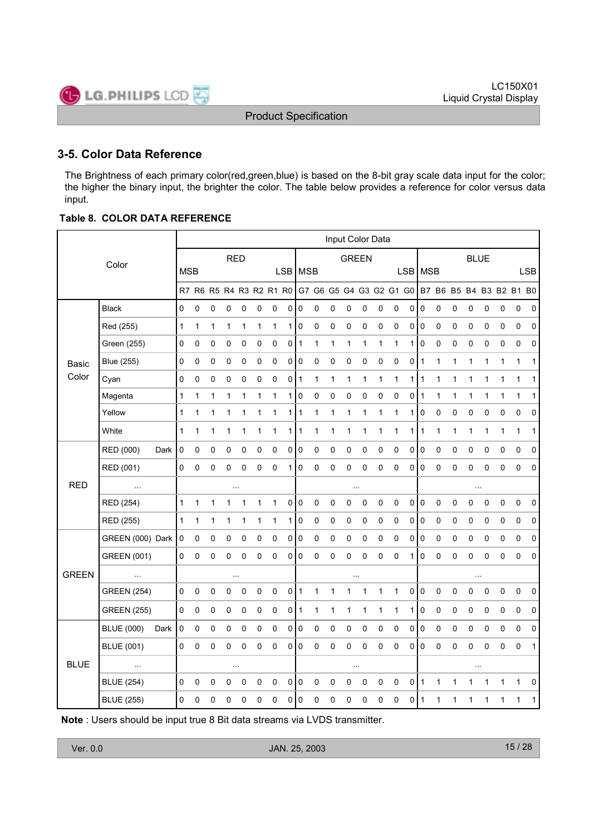

# **3-5. Color Data Reference**

The Brightness of each primary color(red,green,blue) is based on the 8-bit gray scale data input for the color; the higher the binary input, the brighter the color. The table below provides a reference for color versus data input.

#### **Table 8. COLOR DATA REFERENCE**

|              |                    |      | Input Color Data |   |             |             |              |              |                         |                |                |              |              |              |              |              |                         |            |                |             |              |              |              |           |                         |              |
|--------------|--------------------|------|------------------|---|-------------|-------------|--------------|--------------|-------------------------|----------------|----------------|--------------|--------------|--------------|--------------|--------------|-------------------------|------------|----------------|-------------|--------------|--------------|--------------|-----------|-------------------------|--------------|
|              | Color              |      |                  |   |             | <b>RED</b>  |              |              |                         |                |                |              |              | <b>GREEN</b> |              |              |                         |            |                |             |              | <b>BLUE</b>  |              |           |                         |              |
|              |                    |      | <b>MSB</b>       |   |             |             |              |              |                         |                | LSB   MSB      |              |              |              |              |              |                         | <b>LSB</b> | MSB            |             |              |              |              |           |                         | <b>LSB</b>   |
|              |                    |      |                  |   |             |             |              |              | R7 R6 R5 R4 R3 R2 R1 R0 |                |                |              |              |              |              |              | G7 G6 G5 G4 G3 G2 G1 G0 |            |                |             |              |              |              |           | B7 B6 B5 B4 B3 B2 B1 B0 |              |
|              | <b>Black</b>       |      | 0                | 0 | 0           | 0           | 0            | 0            | 0                       | 0              | 0              | 0            | 0            | 0            | 0            | 0            | 0                       | 0          | $\pmb{0}$      | 0           | 0            | 0            | 0            | 0         | 0                       | 0            |
|              | Red (255)          |      | $\mathbf{1}$     | 1 | 1           | 1           | $\mathbf{1}$ | 1            | 1                       | 1              | 0              | 0            | 0            | 0            | 0            | 0            | 0                       | $\pmb{0}$  | $\pmb{0}$      | 0           | 0            | 0            | $\pmb{0}$    | 0         | 0                       | $\mathbf 0$  |
|              | Green (255)        |      | 0                | 0 | 0           | 0           | 0            | 0            | 0                       | 0 1            |                | 1            | 1            | $\mathbf{1}$ | $\mathbf{1}$ | 1            | $\mathbf{1}$            | 1          | $\pmb{0}$      | $\pmb{0}$   | 0            | 0            | 0            | 0         | 0                       | 0            |
| <b>Basic</b> | <b>Blue (255)</b>  |      | $\pmb{0}$        | 0 | 0           | 0           | 0            | 0            | $\pmb{0}$               | $\overline{0}$ | $\overline{0}$ | 0            | 0            | 0            | 0            | 0            | 0                       | 0          | $\vert$ 1      | $\mathbf 1$ | 1            | $\mathbf{1}$ | $\mathbf{1}$ | 1         | 1                       | $\mathbf{1}$ |
| Color        | Cyan               |      | $\pmb{0}$        | 0 | 0           | 0           | 0            | 0            | 0                       | 0              | 1              | $\mathbf{1}$ | 1            | $\mathbf{1}$ | 1            | 1            | $\mathbf{1}$            | 1          | $\mathbf{1}$   | 1           | 1            | 1            | 1            | 1         | 1                       | 1            |
|              | Magenta            |      | $\mathbf{1}$     | 1 | 1           | 1           | 1            | 1            | 1                       | 1              | 0              | 0            | $\pmb{0}$    | 0            | 0            | 0            | 0                       | 0          | $\mathbf{1}$   | 1           | $\mathbf{1}$ | 1            | $\mathbf{1}$ | 1         | 1                       | 1            |
|              | Yellow             |      | $\mathbf{1}$     | 1 | 1           | $\mathbf 1$ | 1            | 1            | 1                       | 1              | 1              | $\mathbf{1}$ | 1            | $\mathbf{1}$ | 1            | 1            | $\mathbf 1$             | 1          | $\pmb{0}$      | $\mathbf 0$ | 0            | $\pmb{0}$    | 0            | 0         | 0                       | 0            |
|              | White              |      | 1                | 1 | 1           | 1           | 1            | $\mathbf{1}$ | 1                       | 1              | 1              | $\mathbf{1}$ | 1            | 1            | 1            | 1            | $\mathbf{1}$            | 1          | 1              | 1           | 1            | 1            | 1            | 1         | 1                       | 1            |
|              | RED (000)          | Dark | $\mathbf 0$      | 0 | $\pmb{0}$   | $\mathsf 0$ | 0            | $\pmb{0}$    | $\mathsf 0$             | 0              | 0              | $\mathsf 0$  | $\mathsf 0$  | $\mathbf 0$  | $\mathbf 0$  | $\mathsf 0$  | $\pmb{0}$               | 0          | $\pmb{0}$      | $\pmb{0}$   | 0            | $\mathbf 0$  | $\mathbf 0$  | 0         | $\pmb{0}$               | $\mathbf 0$  |
|              | RED (001)          |      | 0                | 0 | 0           | 0           | 0            | 0            | 0                       | 1              | 0              | 0            | 0            | 0            | 0            | 0            | 0                       | 0          | $\mathbf 0$    | 0           | 0            | 0            | 0            | 0         | 0                       | $\mathbf 0$  |
| <b>RED</b>   | $\ldots$           |      |                  |   |             | $\ddotsc$   |              |              |                         |                |                |              |              |              | $\ddotsc$    |              |                         |            |                |             |              | $\ddotsc$    |              |           |                         |              |
|              | RED (254)          |      | $\mathbf{1}$     | 1 | 1           | 1           | 1            | $\mathbf{1}$ | $\mathbf{1}$            | 0              | $\mathbf 0$    | $\mathsf 0$  | $\pmb{0}$    | $\pmb{0}$    | $\pmb{0}$    | $\pmb{0}$    | $\pmb{0}$               | 0          | $\overline{0}$ | $\mathbf 0$ | $\pmb{0}$    | 0            | 0            | $\pmb{0}$ | $\pmb{0}$               | $\mathbf 0$  |
|              | RED (255)          |      | $\mathbf{1}$     | 1 | 1           | 1           | 1            | $\mathbf 1$  | 1                       | 1              | 0              | 0            | 0            | 0            | 0            | 0            | 0                       | 0          | $\pmb{0}$      | 0           | 0            | 0            | 0            | 0         | 0                       | 0            |
|              | GREEN (000) Dark   |      | $\pmb{0}$        | 0 | 0           | 0           | 0            | 0            | 0                       | 0              | 0              | 0            | 0            | 0            | 0            | 0            | 0                       | 0          | $\pmb{0}$      | 0           | 0            | 0            | 0            | 0         | 0                       | 0            |
|              | <b>GREEN (001)</b> |      | 0                | 0 | 0           | 0           | 0            | 0            | 0                       | 0              | 0              | 0            | 0            | 0            | 0            | 0            | 0                       | 1          | $\pmb{0}$      | $\pmb{0}$   | 0            | 0            | $\pmb{0}$    | 0         | 0                       | $\mathbf 0$  |
| <b>GREEN</b> | $\ddotsc$          |      |                  |   |             |             |              |              |                         |                |                |              |              |              |              |              |                         |            |                |             |              | $\sim$       |              |           |                         |              |
|              | <b>GREEN (254)</b> |      | 0                | 0 | $\pmb{0}$   | $\pmb{0}$   | 0            | $\mathbf 0$  | $\pmb{0}$               | $\overline{0}$ | 1              | $\mathbf{1}$ | $\mathbf{1}$ | 1            | 1            | $\mathbf{1}$ | $\mathbf{1}$            | $\pmb{0}$  | $\vert$ 0      | $\pmb{0}$   | $\pmb{0}$    | $\pmb{0}$    | 0            | 0         | $\pmb{0}$               | $\mathbf 0$  |
|              | <b>GREEN (255)</b> |      | 0                | 0 | $\mathbf 0$ | 0           | 0            | 0            | 0                       | 0              | 1              | $\mathbf{1}$ | 1            | 1            | 1            | 1            | $\mathbf{1}$            | 1          | $\pmb{0}$      | 0           | 0            | 0            | $\pmb{0}$    | 0         | 0                       | 0            |
|              | <b>BLUE (000)</b>  | Dark | 0                | 0 | 0           | 0           | 0            | 0            | $\pmb{0}$               | 0              | 0              | 0            | 0            | $\pmb{0}$    | $\mathbf 0$  | 0            | 0                       | 0          | $\pmb{0}$      | 0           | 0            | 0            | 0            | 0         | $\pmb{0}$               | 0            |
|              | <b>BLUE (001)</b>  |      | $\mathbf 0$      | 0 | 0           | 0           | 0            | $\mathbf 0$  | 0                       | $\overline{0}$ | 0              | $\mathsf 0$  | 0            | 0            | $\mathbf 0$  | 0            | $\mathbf 0$             | 0          | $\pmb{0}$      | $\mathbf 0$ | 0            | 0            | $\mathbf 0$  | 0         | $\mathbf 0$             | $\mathbf{1}$ |
| <b>BLUE</b>  | $\ldots$           |      |                  |   |             |             |              |              |                         |                |                |              |              |              | $\cdots$     |              |                         |            |                |             |              | $\ddotsc$    |              |           |                         |              |
|              | <b>BLUE (254)</b>  |      | $\pmb{0}$        | 0 | $\mathbf 0$ | 0           | 0            | $\mathbf 0$  | 0                       | $\overline{0}$ | $\pmb{0}$      | 0            | $\mathbf 0$  | 0            | $\mathbf 0$  | 0            | $\mathbf 0$             | 0          | $\vert$ 1      | 1           | $\mathbf{1}$ | 1            | 1            | 1         | 1                       | 0            |
|              | <b>BLUE (255)</b>  |      | $\mathsf 0$      | 0 | 0           | 0           | 0            | $\mathbf 0$  | 0                       | 0              | 0              | 0            | 0            | 0            | 0            | 0            | $\pmb{0}$               | 0          | $\mathbf{1}$   | 1           | 1            | 1            | 1            | 1         | $\mathbf{1}$            | 1            |

**Note** : Users should be input true 8 Bit data streams via LVDS transmitter.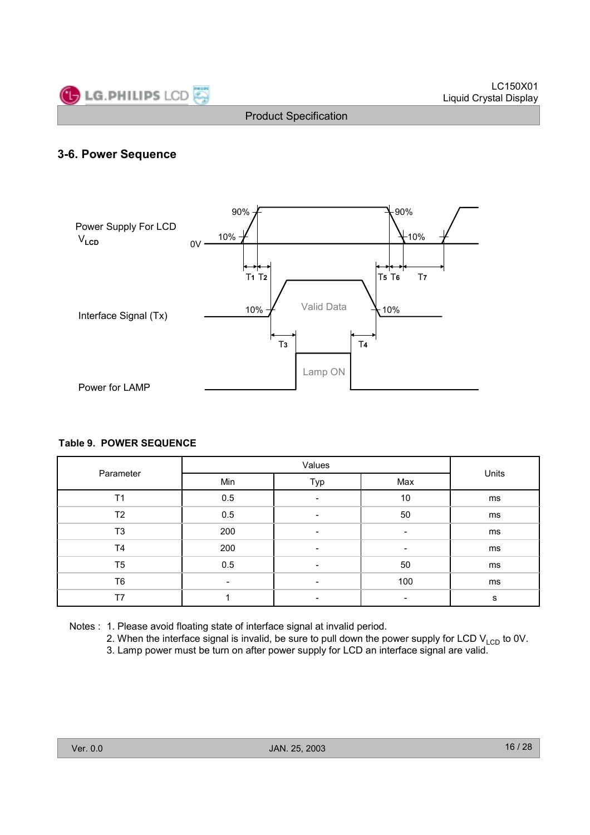

#### **3-6. Power Sequence**



#### **Table 9. POWER SEQUENCE**

|                |     | Units                    |     |    |  |
|----------------|-----|--------------------------|-----|----|--|
| Parameter      | Min | Typ                      | Max |    |  |
| T1             | 0.5 | $\overline{\phantom{a}}$ | 10  | ms |  |
| T2             | 0.5 | $\overline{\phantom{a}}$ | 50  | ms |  |
| T <sub>3</sub> | 200 | $\overline{\phantom{a}}$ | -   | ms |  |
| T4             | 200 | $\overline{\phantom{a}}$ | -   | ms |  |
| T <sub>5</sub> | 0.5 | $\overline{\phantom{0}}$ | 50  | ms |  |
| T <sub>6</sub> | -   |                          | 100 | ms |  |
| T7             |     | $\overline{\phantom{0}}$ |     | s  |  |

Notes : 1. Please avoid floating state of interface signal at invalid period.

2. When the interface signal is invalid, be sure to pull down the power supply for LCD  $V_{\text{LCD}}$  to 0V.

3. Lamp power must be turn on after power supply for LCD an interface signal are valid.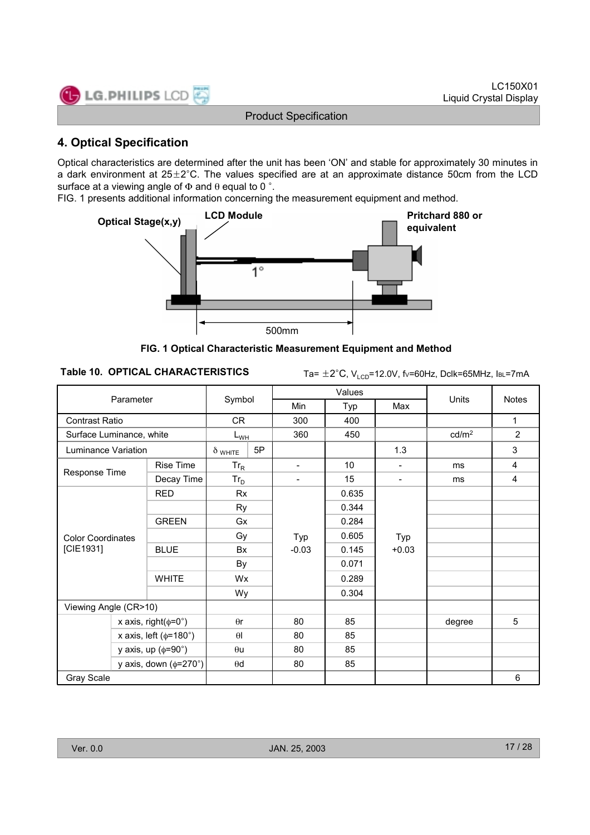

# **4. Optical Specification**

Optical characteristics are determined after the unit has been 'ON' and stable for approximately 30 minutes in a dark environment at  $25\pm2^{\circ}$ C. The values specified are at an approximate distance 50cm from the LCD surface at a viewing angle of  $\Phi$  and  $\theta$  equal to 0 °.

FIG. 1 presents additional information concerning the measurement equipment and method.



**FIG. 1 Optical Characteristic Measurement Equipment and Method**

```
Table 10. OPTICAL CHARACTERISTICS Ta= \pm 2^{\circ}C, V<sub>LCD</sub>=12.0V, fv=60Hz, Dclk=65MHz, IBL=7mA
```

|                          | Parameter                         |                |          |                              | Values |                              |                   | <b>Notes</b>   |  |
|--------------------------|-----------------------------------|----------------|----------|------------------------------|--------|------------------------------|-------------------|----------------|--|
|                          |                                   | Symbol         |          | Min                          | Typ    | Max                          | Units             |                |  |
| <b>Contrast Ratio</b>    |                                   |                | CR.      |                              | 400    |                              |                   | 1              |  |
| Surface Luminance, white |                                   |                | $L_{WH}$ |                              | 450    |                              | cd/m <sup>2</sup> | $\overline{2}$ |  |
| Luminance Variation      |                                   | $\delta$ white | 5P       |                              |        | 1.3                          |                   | 3              |  |
|                          | <b>Rise Time</b>                  | $Tr_R$         |          | $\qquad \qquad \blacksquare$ | 10     | $\qquad \qquad \blacksquare$ | ms                | 4              |  |
| Response Time            | Decay Time                        | $Tr_D$         |          | ۰                            | 15     | ۰                            | ms                | 4              |  |
|                          | <b>RED</b>                        | <b>Rx</b>      |          |                              | 0.635  |                              |                   |                |  |
|                          |                                   | <b>Ry</b>      |          |                              | 0.344  |                              |                   |                |  |
|                          | <b>GREEN</b>                      | Gx             |          | Typ<br>$-0.03$               | 0.284  | Typ<br>$+0.03$               |                   |                |  |
| <b>Color Coordinates</b> |                                   | Gy             |          |                              | 0.605  |                              |                   |                |  |
| [CIE1931]                | <b>BLUE</b>                       | Bx             |          |                              | 0.145  |                              |                   |                |  |
|                          |                                   | By             |          |                              | 0.071  |                              |                   |                |  |
|                          | <b>WHITE</b>                      | Wx             |          |                              | 0.289  |                              |                   |                |  |
|                          |                                   | Wy             |          |                              | 0.304  |                              |                   |                |  |
| Viewing Angle (CR>10)    |                                   |                |          |                              |        |                              |                   |                |  |
|                          | x axis, right( $\phi$ =0°)        | $\theta$ r     |          | 80                           | 85     |                              | degree            | 5              |  |
|                          | x axis, left ( $\phi$ =180°)      | $\theta$       |          | 80                           | 85     |                              |                   |                |  |
|                          | y axis, up $(\phi = 90^\circ)$    | $\theta$ u     |          | 80                           | 85     |                              |                   |                |  |
|                          | y axis, down $(\phi = 270^\circ)$ | $\theta$ d     |          | 80                           | 85     |                              |                   |                |  |
| Gray Scale               |                                   |                |          |                              |        |                              |                   | 6              |  |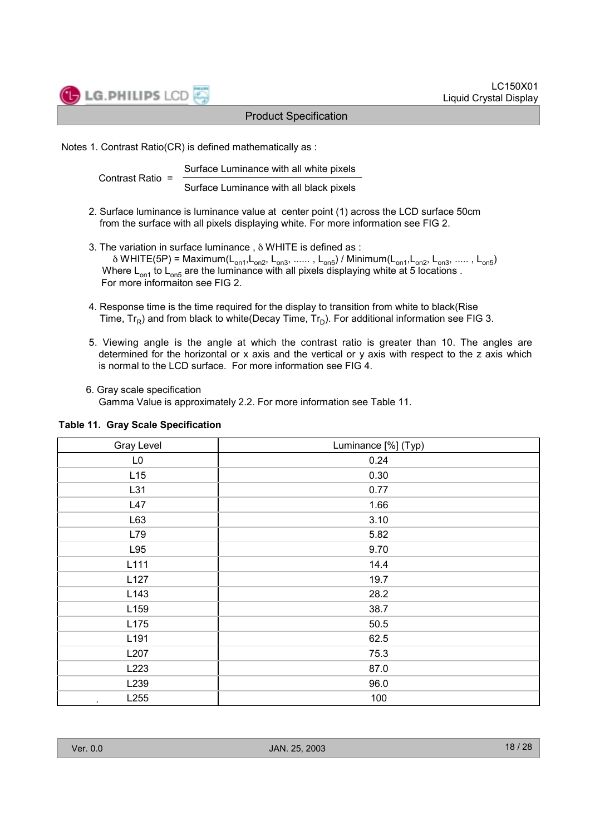

Notes 1. Contrast Ratio(CR) is defined mathematically as :

Surface Luminance with all white pixels Contrast Ratio =

Surface Luminance with all black pixels

- 2. Surface luminance is luminance value at center point (1) across the LCD surface 50cm from the surface with all pixels displaying white. For more information see FIG 2.
- 3. The variation in surface luminance , δ WHITE is defined as :  $\delta$  WHITE(5P) = Maximum(L<sub>on1</sub>,L<sub>on2</sub>, L<sub>on3</sub>, ...... , L<sub>on5</sub>) / Minimum(L<sub>on1</sub>,L<sub>on2</sub>, L<sub>on3</sub>, ..... , L<sub>on5</sub>) Where  $\mathsf{L}_{\mathsf{on}1}$  to  $\mathsf{L}_{\mathsf{on}5}$  are the luminance with all pixels displaying white at 5 locations . For more informaiton see FIG 2.
- 4. Response time is the time required for the display to transition from white to black(Rise Time,  $Tr_R$ ) and from black to white(Decay Time,  $Tr_D$ ). For additional information see FIG 3.
- 5. Viewing angle is the angle at which the contrast ratio is greater than 10. The angles are determined for the horizontal or x axis and the vertical or y axis with respect to the z axis which is normal to the LCD surface. For more information see FIG 4.
- 6. Gray scale specification Gamma Value is approximately 2.2. For more information see Table 11.

| Gray Level       | Luminance [%] (Typ) |
|------------------|---------------------|
| L <sub>0</sub>   | 0.24                |
| L15              | 0.30                |
| L31              | 0.77                |
| L47              | 1.66                |
| L63              | 3.10                |
| L79              | 5.82                |
| L95              | 9.70                |
| L111             | 14.4                |
| L127             | 19.7                |
| L143             | 28.2                |
| L <sub>159</sub> | 38.7                |
| L175             | 50.5                |
| L191             | 62.5                |
| L207             | 75.3                |
| L223             | 87.0                |
| L239             | 96.0                |
| L255<br>٠        | 100                 |

#### **Table 11. Gray Scale Specification**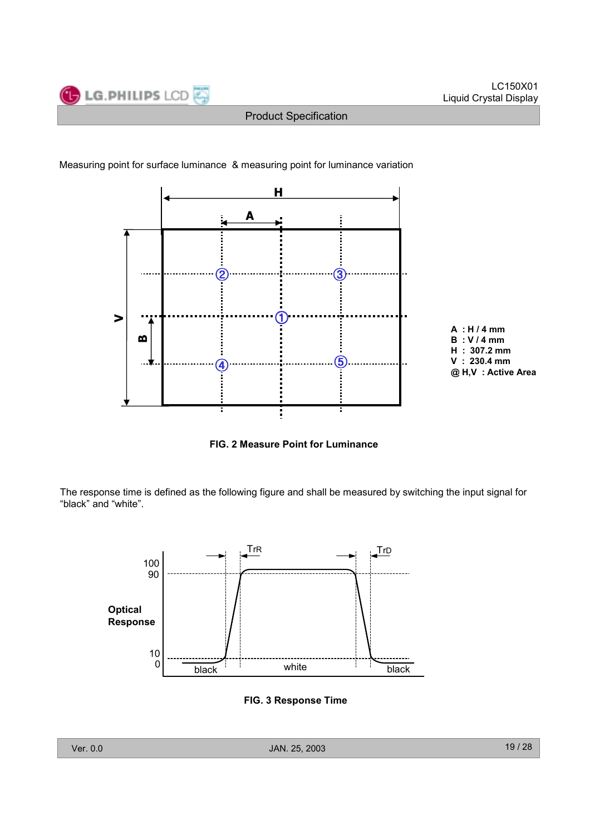

Measuring point for surface luminance & measuring point for luminance variation



**FIG. 2 Measure Point for Luminance** 

The response time is defined as the following figure and shall be measured by switching the input signal for "black" and "white".



**FIG. 3 Response Time**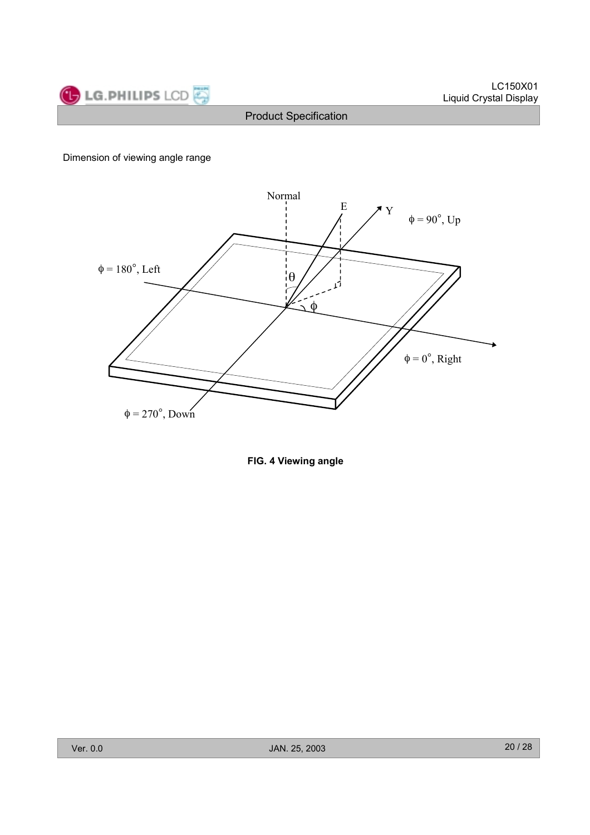



Dimension of viewing angle range



**FIG. 4 Viewing angle**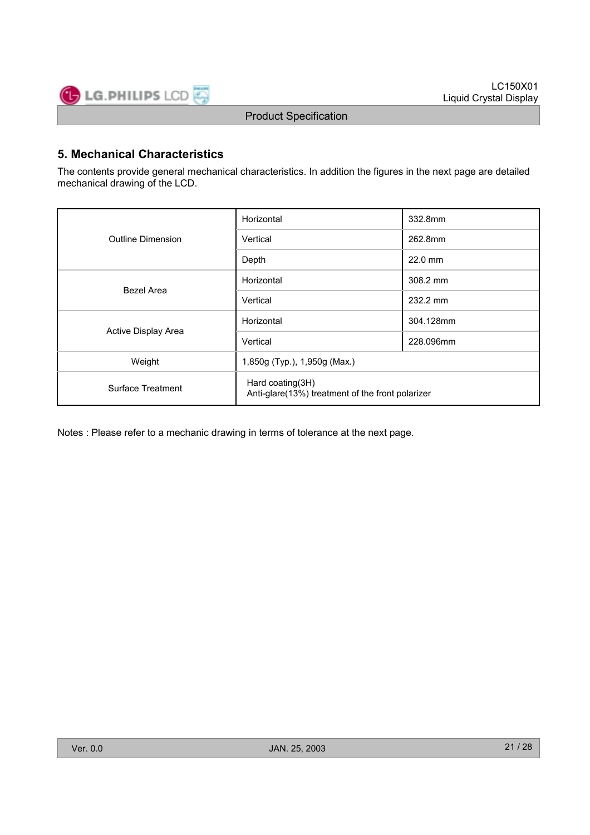

# **5. Mechanical Characteristics**

The contents provide general mechanical characteristics. In addition the figures in the next page are detailed mechanical drawing of the LCD.

|                     | Horizontal                                                           | 332.8mm   |  |  |  |
|---------------------|----------------------------------------------------------------------|-----------|--|--|--|
| Outline Dimension   | Vertical                                                             | 262.8mm   |  |  |  |
|                     | Depth                                                                | $22.0$ mm |  |  |  |
| Bezel Area          | Horizontal                                                           | 308.2 mm  |  |  |  |
|                     | Vertical                                                             | 232.2 mm  |  |  |  |
|                     | Horizontal                                                           | 304.128mm |  |  |  |
| Active Display Area | Vertical                                                             | 228.096mm |  |  |  |
| Weight              | 1,850g (Typ.), 1,950g (Max.)                                         |           |  |  |  |
| Surface Treatment   | Hard coating(3H)<br>Anti-glare(13%) treatment of the front polarizer |           |  |  |  |

Notes : Please refer to a mechanic drawing in terms of tolerance at the next page.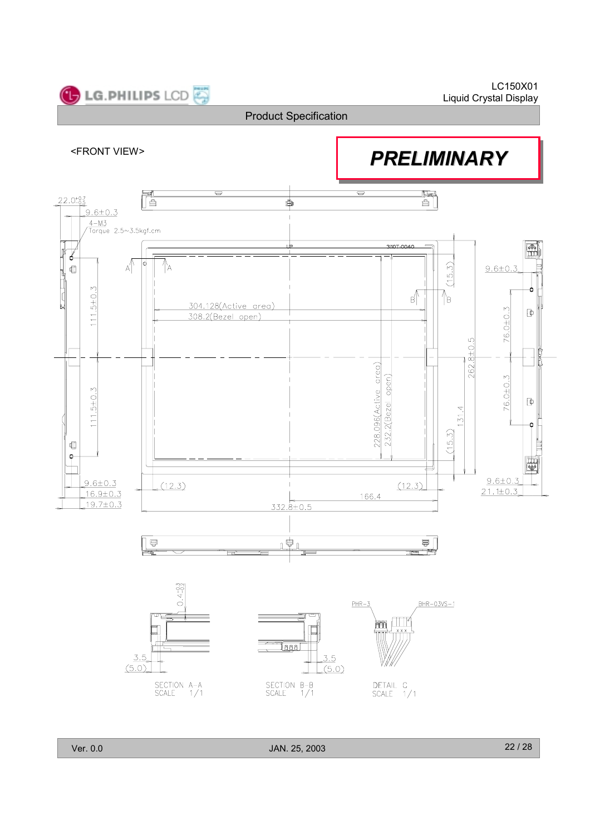

Ver. 0.0 JAN. 25, 2003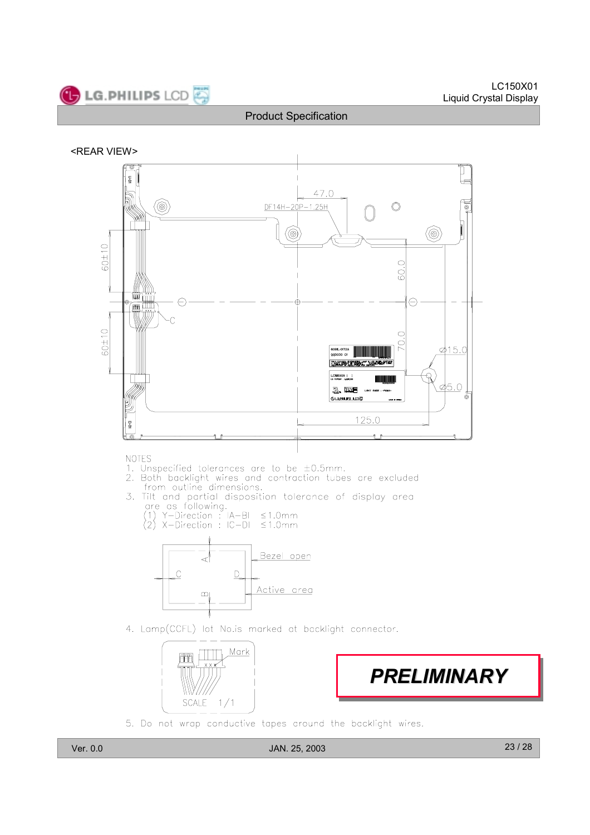





**NOTES** 

- 
- 1. Unspecified tolerances are to be  $\pm 0.5$ mm.<br>2. Both backlight wires and contraction tubes are excluded<br>from outline dimensions.
- 3. Tilt and partial disposition tolerance of display area<br>are as following.<br>(1) Y-Direction : IA-BI ≤1.0mm<br>(2) X-Direction : IC-DI ≤1.0mm
	-



4. Lamp(CCFL) lot No.is marked at backlight connector.



*PRELIMINARY PRELIMINARY PRELIMINARY*

5. Do not wrap conductive tapes around the backlight wires.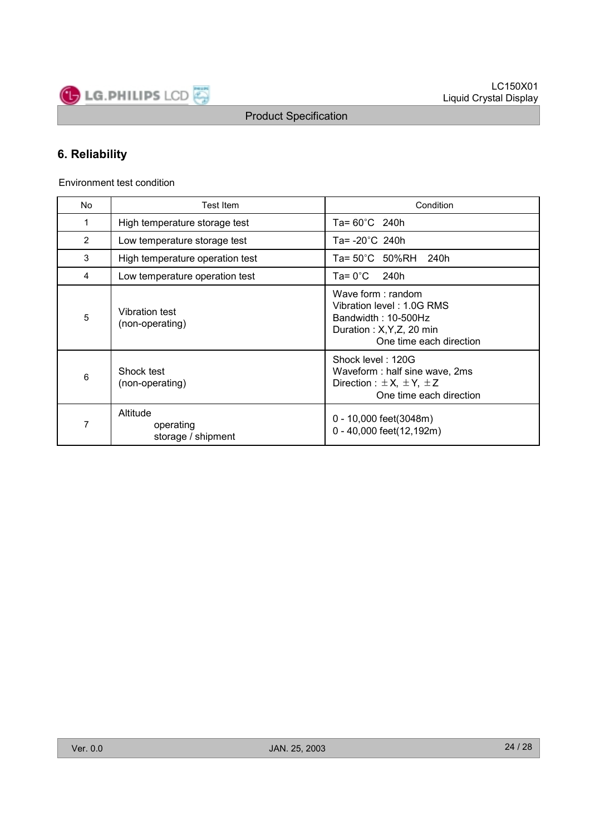

# **6. Reliability**

Environment test condition

| No             | Test Item                                   | Condition                                                                                                                     |
|----------------|---------------------------------------------|-------------------------------------------------------------------------------------------------------------------------------|
| 1              | High temperature storage test               | Ta= 60°C 240h                                                                                                                 |
| $\overline{2}$ | Low temperature storage test                | Ta= -20°C 240h                                                                                                                |
| 3              | High temperature operation test             | Ta= 50°C 50%RH<br>240h                                                                                                        |
| 4              | Low temperature operation test              | Ta= 0°C<br>240h                                                                                                               |
| 5              | <b>Vibration test</b><br>(non-operating)    | Wave form: random<br>Vibration level: 1.0G RMS<br>Bandwidth: 10-500Hz<br>Duration: X, Y, Z, 20 min<br>One time each direction |
| 6              | Shock test<br>(non-operating)               | Shock level: 120G<br>Waveform: half sine wave, 2ms<br>Direction : $\pm X$ , $\pm Y$ , $\pm Z$<br>One time each direction      |
| 7              | Altitude<br>operating<br>storage / shipment | 0 - 10,000 feet(3048m)<br>0 - 40,000 feet(12,192m)                                                                            |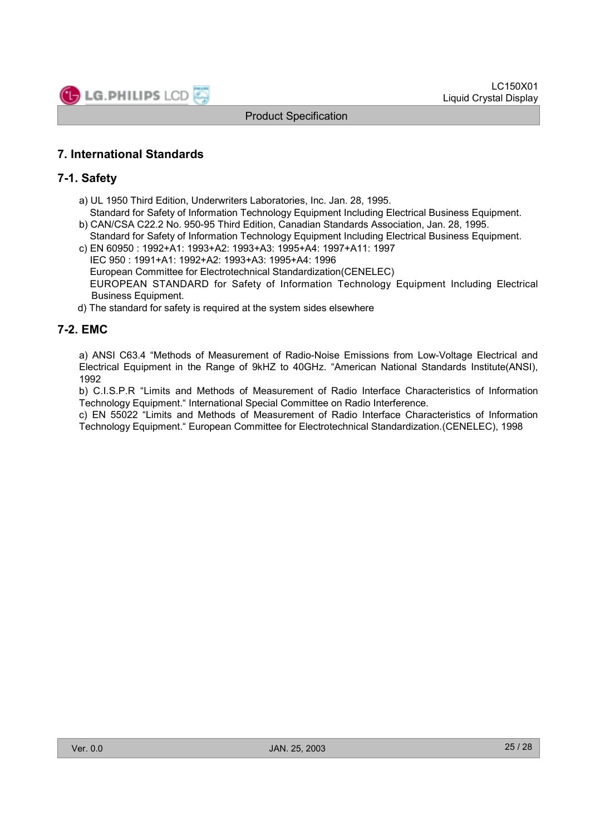

# **7. International Standards**

#### **7-1. Safety**

- a) UL 1950 Third Edition, Underwriters Laboratories, Inc. Jan. 28, 1995.
- Standard for Safety of Information Technology Equipment Including Electrical Business Equipment. b) CAN/CSA C22.2 No. 950-95 Third Edition, Canadian Standards Association, Jan. 28, 1995.
- Standard for Safety of Information Technology Equipment Including Electrical Business Equipment. c) EN 60950 : 1992+A1: 1993+A2: 1993+A3: 1995+A4: 1997+A11: 1997
- IEC 950 : 1991+A1: 1992+A2: 1993+A3: 1995+A4: 1996 European Committee for Electrotechnical Standardization(CENELEC) EUROPEAN STANDARD for Safety of Information Technology Equipment Including Electrical Business Equipment.
- d) The standard for safety is required at the system sides elsewhere

# **7-2. EMC**

a) ANSI C63.4 "Methods of Measurement of Radio-Noise Emissions from Low-Voltage Electrical and Electrical Equipment in the Range of 9kHZ to 40GHz. "American National Standards Institute(ANSI), 1992

b) C.I.S.P.R "Limits and Methods of Measurement of Radio Interface Characteristics of Information Technology Equipment." International Special Committee on Radio Interference.

c) EN 55022 "Limits and Methods of Measurement of Radio Interface Characteristics of Information Technology Equipment." European Committee for Electrotechnical Standardization.(CENELEC), 1998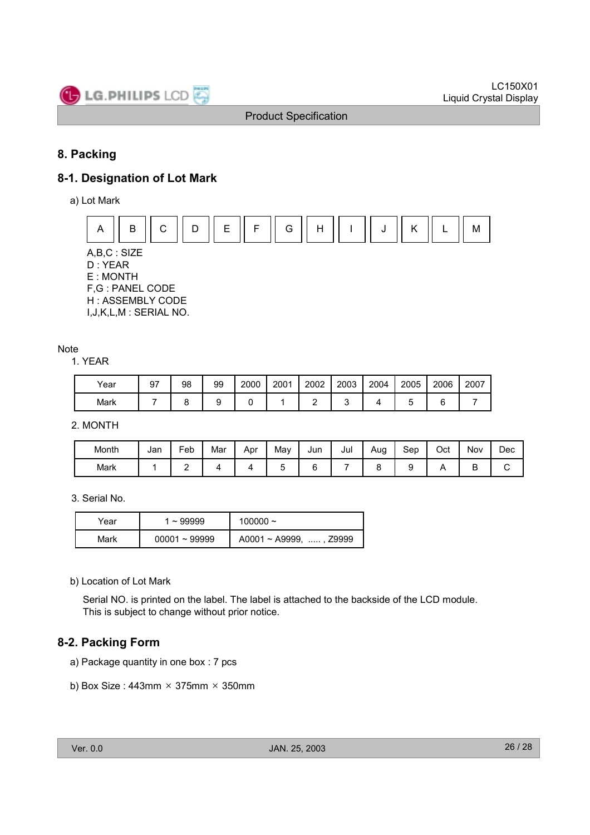

# **8. Packing**

# **8-1. Designation of Lot Mark**

a) Lot Mark



A,B,C : SIZE D : YEAR E : MONTH F,G : PANEL CODE H : ASSEMBLY CODE

I,J,K,L,M : SERIAL NO.

#### Note

1. YEAR

| Year | 97 | 98 | 99 | 2000 | 2001 | 2002 | 2003 | 2004 | 2005 | 2006 | 2007 |
|------|----|----|----|------|------|------|------|------|------|------|------|
| Mark |    |    |    |      |      |      |      |      |      |      |      |

2. MONTH

| Month | Jan | Feb | . .<br>Mar | Apr | May | Jun | Jul | Aug | Sep | $\sim$<br>Oct | Nov | Dec |
|-------|-----|-----|------------|-----|-----|-----|-----|-----|-----|---------------|-----|-----|
| Mark  |     | -   |            |     |     |     |     |     |     |               |     | ◡   |

3. Serial No.

| Year | 1 ~ 99999       | 100000 $\sim$                |  |  |  |  |
|------|-----------------|------------------------------|--|--|--|--|
| Mark | $00001 - 99999$ | $A0001 \sim A9999$ , , Z9999 |  |  |  |  |

b) Location of Lot Mark

Serial NO. is printed on the label. The label is attached to the backside of the LCD module. This is subject to change without prior notice.

# **8-2. Packing Form**

- a) Package quantity in one box : 7 pcs
- b) Box Size:  $443$ mm  $\times$  375mm  $\times$  350mm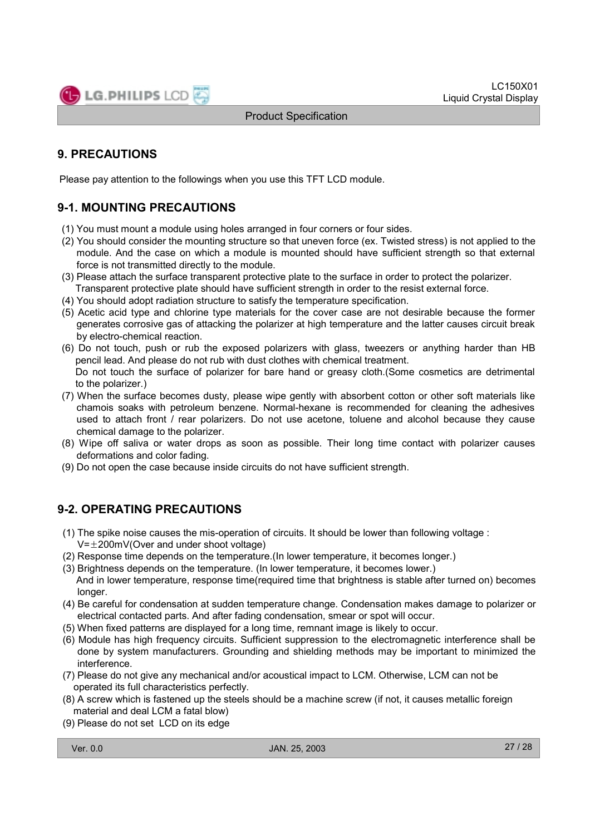

# **9. PRECAUTIONS**

Please pay attention to the followings when you use this TFT LCD module.

# **9-1. MOUNTING PRECAUTIONS**

- (1) You must mount a module using holes arranged in four corners or four sides.
- (2) You should consider the mounting structure so that uneven force (ex. Twisted stress) is not applied to the module. And the case on which a module is mounted should have sufficient strength so that external force is not transmitted directly to the module.
- (3) Please attach the surface transparent protective plate to the surface in order to protect the polarizer. Transparent protective plate should have sufficient strength in order to the resist external force.
- (4) You should adopt radiation structure to satisfy the temperature specification.
- (5) Acetic acid type and chlorine type materials for the cover case are not desirable because the former generates corrosive gas of attacking the polarizer at high temperature and the latter causes circuit break by electro-chemical reaction.
- (6) Do not touch, push or rub the exposed polarizers with glass, tweezers or anything harder than HB pencil lead. And please do not rub with dust clothes with chemical treatment. Do not touch the surface of polarizer for bare hand or greasy cloth.(Some cosmetics are detrimental to the polarizer.)
- (7) When the surface becomes dusty, please wipe gently with absorbent cotton or other soft materials like chamois soaks with petroleum benzene. Normal-hexane is recommended for cleaning the adhesives used to attach front / rear polarizers. Do not use acetone, toluene and alcohol because they cause chemical damage to the polarizer.
- (8) Wipe off saliva or water drops as soon as possible. Their long time contact with polarizer causes deformations and color fading.
- (9) Do not open the case because inside circuits do not have sufficient strength.

# **9-2. OPERATING PRECAUTIONS**

- (1) The spike noise causes the mis-operation of circuits. It should be lower than following voltage :  $V=\pm200$ mV(Over and under shoot voltage)
- (2) Response time depends on the temperature.(In lower temperature, it becomes longer.)
- (3) Brightness depends on the temperature. (In lower temperature, it becomes lower.) And in lower temperature, response time(required time that brightness is stable after turned on) becomes longer.
- (4) Be careful for condensation at sudden temperature change. Condensation makes damage to polarizer or electrical contacted parts. And after fading condensation, smear or spot will occur.
- (5) When fixed patterns are displayed for a long time, remnant image is likely to occur.
- (6) Module has high frequency circuits. Sufficient suppression to the electromagnetic interference shall be done by system manufacturers. Grounding and shielding methods may be important to minimized the interference.
- (7) Please do not give any mechanical and/or acoustical impact to LCM. Otherwise, LCM can not be operated its full characteristics perfectly.
- (8) A screw which is fastened up the steels should be a machine screw (if not, it causes metallic foreign material and deal LCM a fatal blow)
- (9) Please do not set LCD on its edge